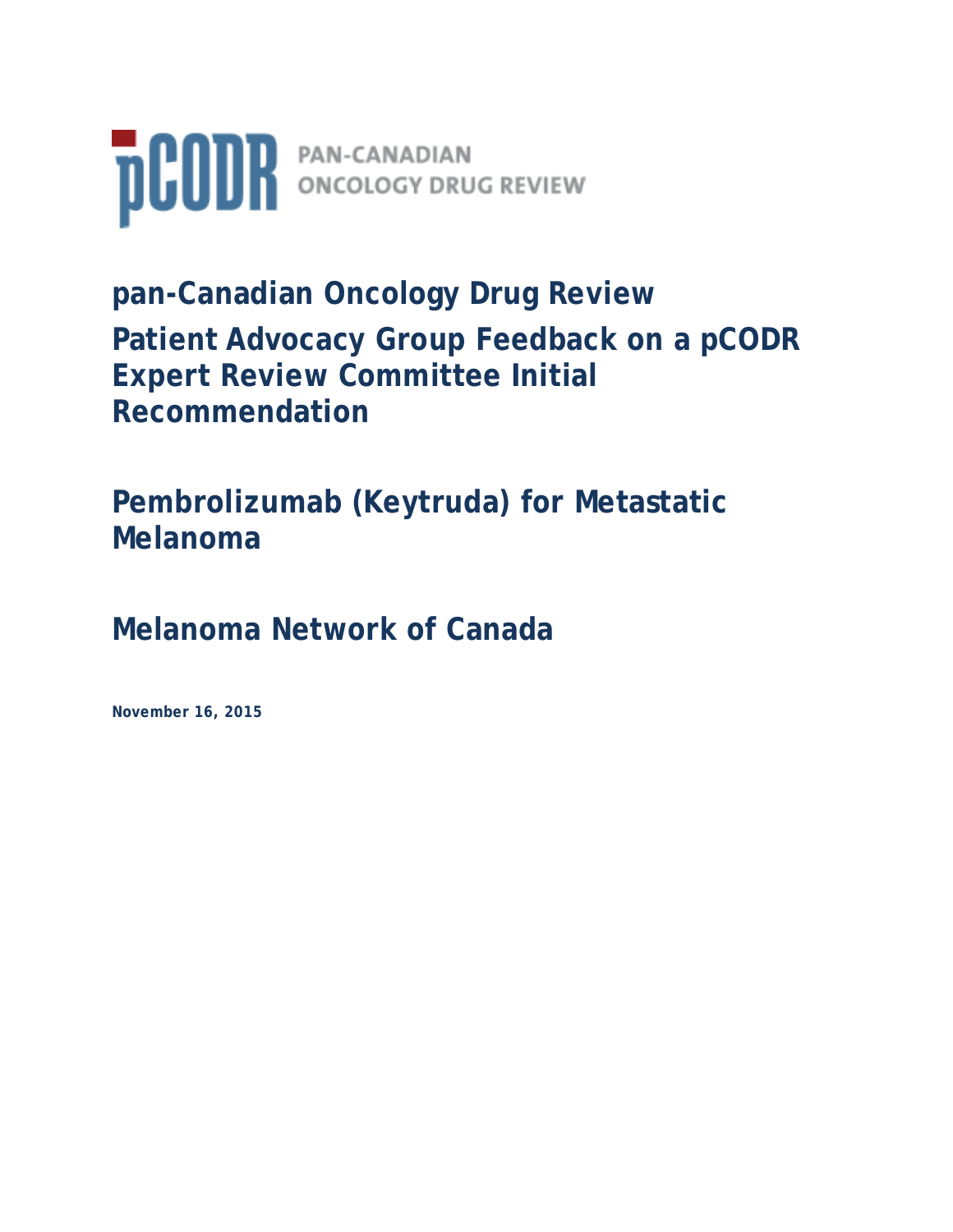

**pan-Canadian Oncology Drug Review Patient Advocacy Group Feedback on a pCODR Expert Review Committee Initial Recommendation** 

**Pembrolizumab (Keytruda) for Metastatic Melanoma**

**Melanoma Network of Canada**

**November 16, 2015**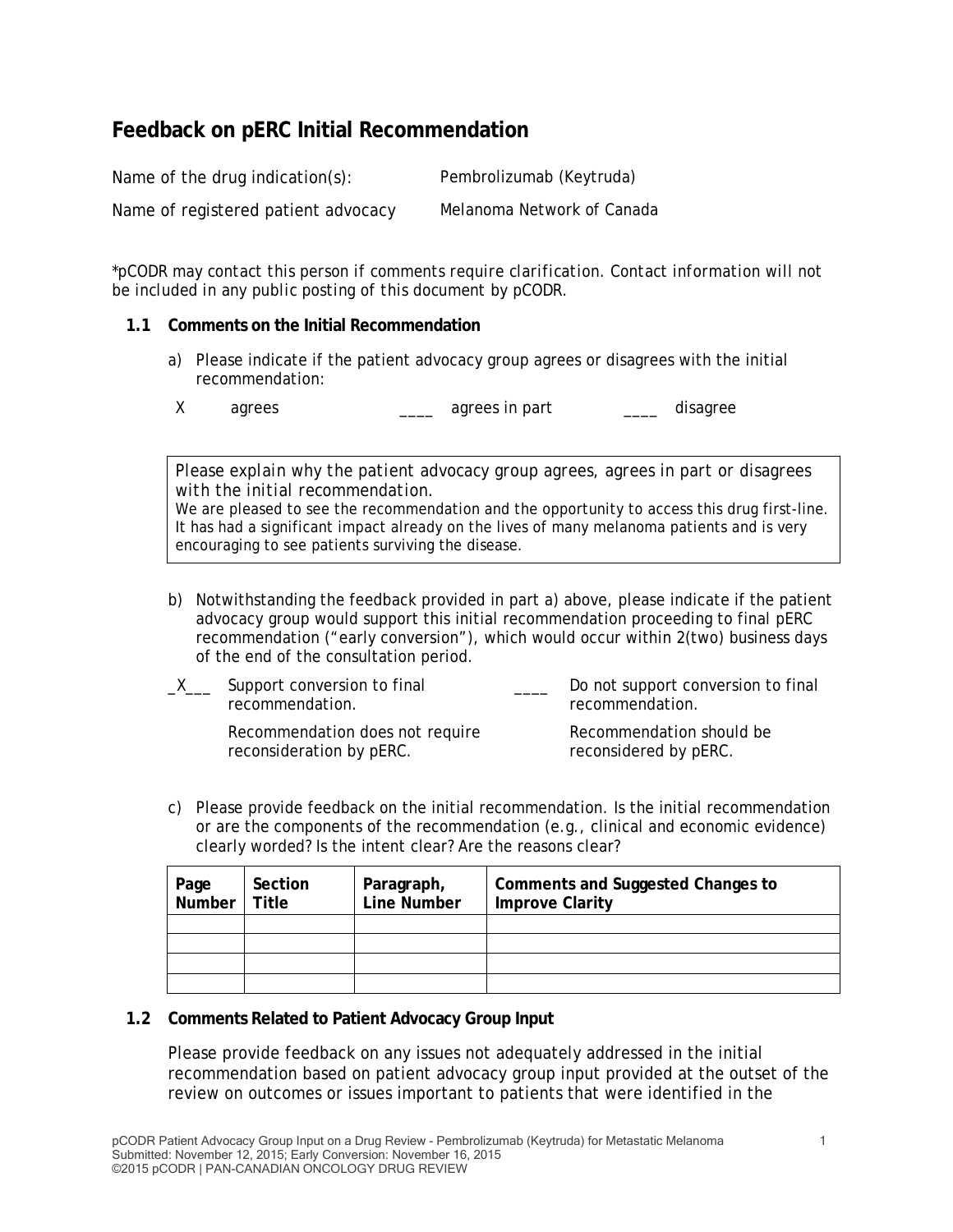# **Feedback on pERC Initial Recommendation**

Name of the drug indication(s): Pembrolizumab (Keytruda) Name of registered patient advocacy Melanoma Network of Canada

*\*pCODR may contact this person if comments require clarification. Contact information will not be included in any public posting of this document by pCODR.*

#### **1.1 Comments on the Initial Recommendation**

a) Please indicate if the patient advocacy group agrees or disagrees with the initial recommendation:

X agrees agrees in part agrees in part disagree

*Please explain why the patient advocacy group agrees, agrees in part or disagrees with the initial recommendation.* 

We are pleased to see the recommendation and the opportunity to access this drug first-line. It has had a significant impact already on the lives of many melanoma patients and is very encouraging to see patients surviving the disease.

b) Notwithstanding the feedback provided in part a) above, please indicate if the patient advocacy group would support this initial recommendation proceeding to final pERC recommendation ("early conversion"), which would occur within 2(two) business days of the end of the consultation period.

| _X__ | Support conversion to final<br>recommendation.              |  | Do not support conversion to final<br>recommendation. |
|------|-------------------------------------------------------------|--|-------------------------------------------------------|
|      | Recommendation does not require<br>reconsideration by pERC. |  | Recommendation should be<br>reconsidered by pERC.     |

c) Please provide feedback on the initial recommendation. Is the initial recommendation or are the components of the recommendation (e.g., clinical and economic evidence) clearly worded? Is the intent clear? Are the reasons clear?

| Page<br>Number | Section<br>Title | Paragraph,<br>Line Number | Comments and Suggested Changes to<br><b>Improve Clarity</b> |
|----------------|------------------|---------------------------|-------------------------------------------------------------|
|                |                  |                           |                                                             |
|                |                  |                           |                                                             |
|                |                  |                           |                                                             |
|                |                  |                           |                                                             |

### **1.2 Comments Related to Patient Advocacy Group Input**

Please provide feedback on any issues not adequately addressed in the initial recommendation based on patient advocacy group input provided at the outset of the review on outcomes or issues important to patients that were identified in the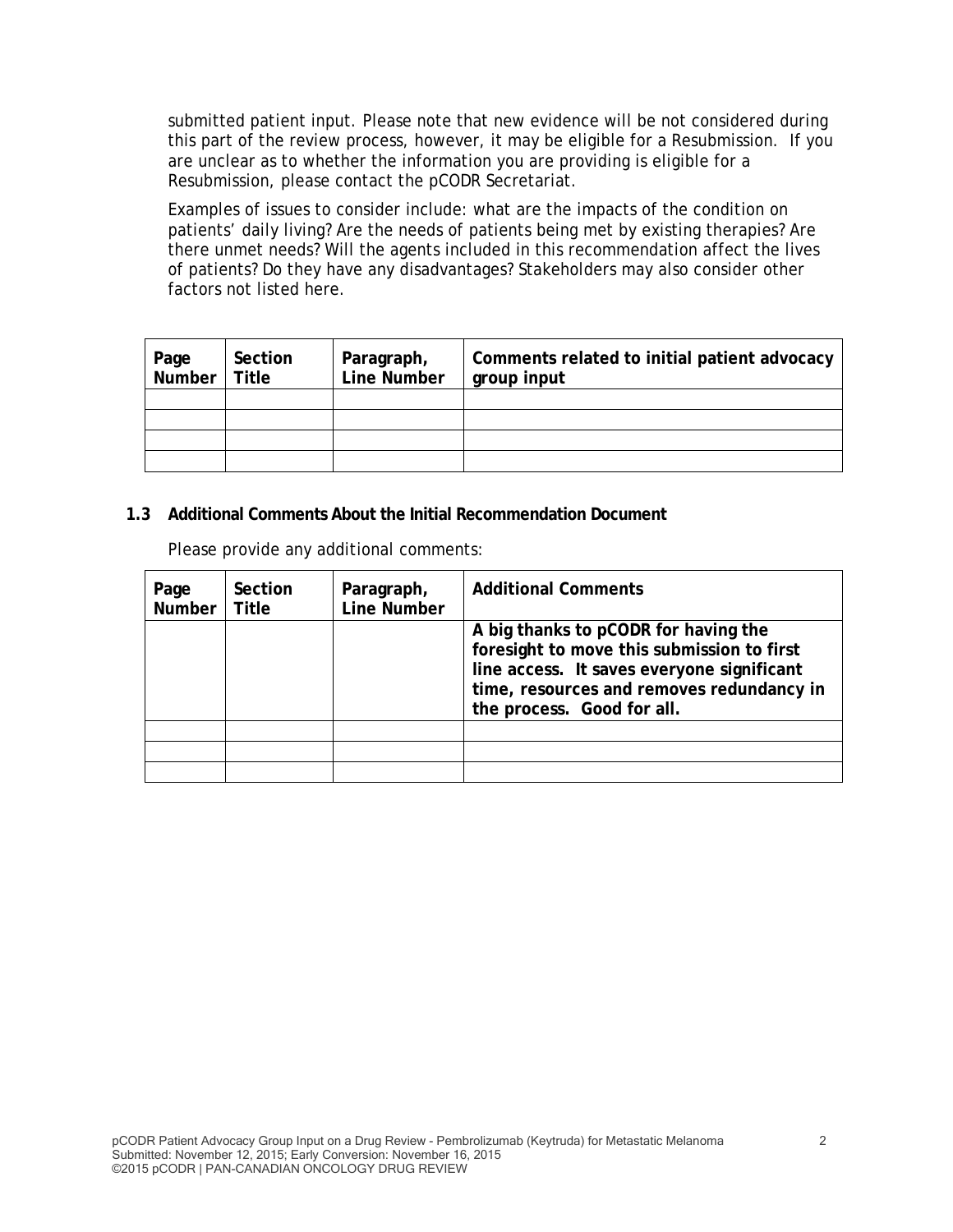submitted patient input. Please note that new evidence will be not considered during this part of the review process, however, it may be eligible for a Resubmission. If you are unclear as to whether the information you are providing is eligible for a Resubmission, please contact the pCODR Secretariat.

Examples of issues to consider include: what are the impacts of the condition on patients' daily living? Are the needs of patients being met by existing therapies? Are there unmet needs? Will the agents included in this recommendation affect the lives of patients? Do they have any disadvantages? Stakeholders may also consider other factors not listed here.

| Page   Section<br>Number   Title | Section | Paragraph,<br>Line Number | Comments related to initial patient advocacy<br>group input |
|----------------------------------|---------|---------------------------|-------------------------------------------------------------|
|                                  |         |                           |                                                             |
|                                  |         |                           |                                                             |
|                                  |         |                           |                                                             |
|                                  |         |                           |                                                             |

### **1.3 Additional Comments About the Initial Recommendation Document**

Please provide any additional comments:

| Page<br>Number <sup>1</sup> | Section<br>Title | Paragraph,<br><b>Line Number</b> | <b>Additional Comments</b>                                                                                                                                                                                  |
|-----------------------------|------------------|----------------------------------|-------------------------------------------------------------------------------------------------------------------------------------------------------------------------------------------------------------|
|                             |                  |                                  | A big thanks to pCODR for having the<br>foresight to move this submission to first<br>line access. It saves everyone significant<br>time, resources and removes redundancy in<br>the process. Good for all. |
|                             |                  |                                  |                                                                                                                                                                                                             |
|                             |                  |                                  |                                                                                                                                                                                                             |
|                             |                  |                                  |                                                                                                                                                                                                             |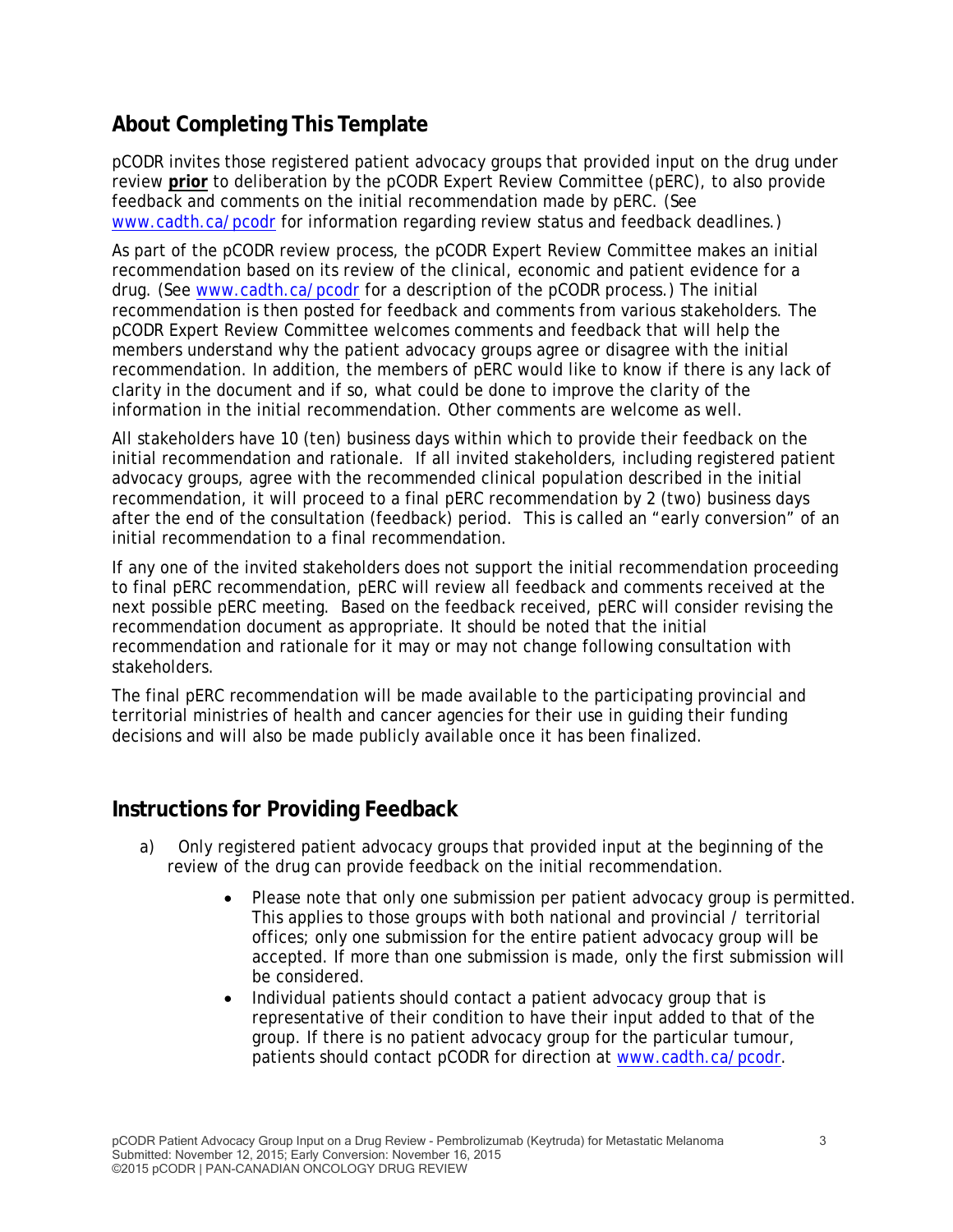# **About Completing This Template**

pCODR invites those registered patient advocacy groups that provided input on the drug under review **prior** to deliberation by the pCODR Expert Review Committee (pERC), to also provide feedback and comments on the initial recommendation made by pERC. (See www.cadth.ca/pcodr for information regarding review status and feedback deadlines.)

As part of the pCODR review process, the pCODR Expert Review Committee makes an initial recommendation based on its review of the clinical, economic and patient evidence for a drug. (See www.cadth.ca/pcodr for a description of the pCODR process.) The initial recommendation is then posted for feedback and comments from various stakeholders. The pCODR Expert Review Committee welcomes comments and feedback that will help the members understand why the patient advocacy groups agree or disagree with the initial recommendation. In addition, the members of pERC would like to know if there is any lack of clarity in the document and if so, what could be done to improve the clarity of the information in the initial recommendation. Other comments are welcome as well.

All stakeholders have 10 (ten) business days within which to provide their feedback on the initial recommendation and rationale. If all invited stakeholders, including registered patient advocacy groups, agree with the recommended clinical population described in the initial recommendation, it will proceed to a final pERC recommendation by 2 (two) business days after the end of the consultation (feedback) period. This is called an "early conversion" of an initial recommendation to a final recommendation.

If any one of the invited stakeholders does not support the initial recommendation proceeding to final pERC recommendation, pERC will review all feedback and comments received at the next possible pERC meeting. Based on the feedback received, pERC will consider revising the recommendation document as appropriate. It should be noted that the initial recommendation and rationale for it may or may not change following consultation with stakeholders.

The final pERC recommendation will be made available to the participating provincial and territorial ministries of health and cancer agencies for their use in guiding their funding decisions and will also be made publicly available once it has been finalized.

## **Instructions for Providing Feedback**

- a) Only registered patient advocacy groups that provided input at the beginning of the review of the drug can provide feedback on the initial recommendation.
	- Please note that only one submission per patient advocacy group is permitted. This applies to those groups with both national and provincial / territorial offices; only one submission for the entire patient advocacy group will be accepted. If more than one submission is made, only the first submission will be considered.
	- Individual patients should contact a patient advocacy group that is representative of their condition to have their input added to that of the group. If there is no patient advocacy group for the particular tumour, patients should contact pCODR for direction at www.cadth.ca/pcodr.